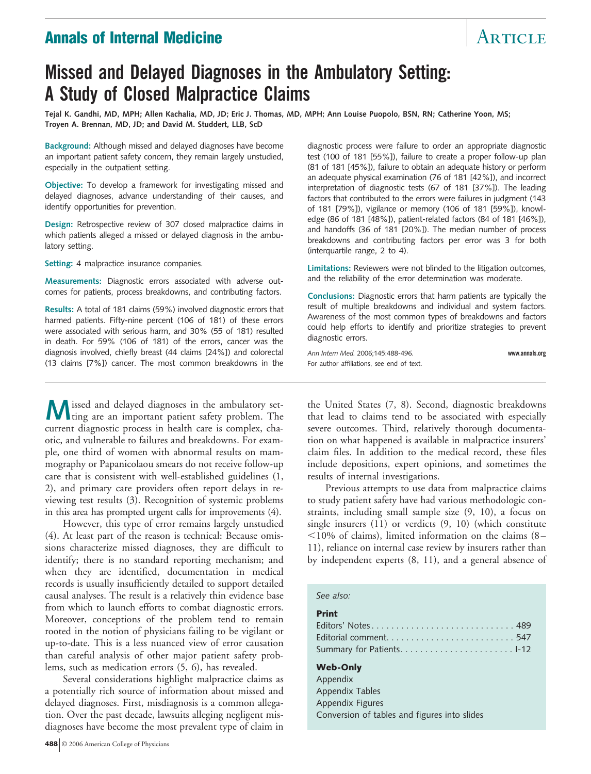## **Annals of Internal Medicine** Annal Article

# **Missed and Delayed Diagnoses in the Ambulatory Setting: A Study of Closed Malpractice Claims**

**Tejal K. Gandhi, MD, MPH; Allen Kachalia, MD, JD; Eric J. Thomas, MD, MPH; Ann Louise Puopolo, BSN, RN; Catherine Yoon, MS; Troyen A. Brennan, MD, JD; and David M. Studdert, LLB, ScD**

**Background:** Although missed and delayed diagnoses have become an important patient safety concern, they remain largely unstudied, especially in the outpatient setting.

**Objective:** To develop a framework for investigating missed and delayed diagnoses, advance understanding of their causes, and identify opportunities for prevention.

**Design:** Retrospective review of 307 closed malpractice claims in which patients alleged a missed or delayed diagnosis in the ambulatory setting.

**Setting:** 4 malpractice insurance companies.

**Measurements:** Diagnostic errors associated with adverse outcomes for patients, process breakdowns, and contributing factors.

**Results:** A total of 181 claims (59%) involved diagnostic errors that harmed patients. Fifty-nine percent (106 of 181) of these errors were associated with serious harm, and 30% (55 of 181) resulted in death. For 59% (106 of 181) of the errors, cancer was the diagnosis involved, chiefly breast (44 claims [24%]) and colorectal (13 claims [7%]) cancer. The most common breakdowns in the

 $M$ issed and delayed diagnoses in the ambulatory set-<br>ting are an important patient safety problem. The current diagnostic process in health care is complex, chaotic, and vulnerable to failures and breakdowns. For example, one third of women with abnormal results on mammography or Papanicolaou smears do not receive follow-up care that is consistent with well-established guidelines (1, 2), and primary care providers often report delays in reviewing test results (3). Recognition of systemic problems in this area has prompted urgent calls for improvements (4).

However, this type of error remains largely unstudied (4). At least part of the reason is technical: Because omissions characterize missed diagnoses, they are difficult to identify; there is no standard reporting mechanism; and when they are identified, documentation in medical records is usually insufficiently detailed to support detailed causal analyses. The result is a relatively thin evidence base from which to launch efforts to combat diagnostic errors. Moreover, conceptions of the problem tend to remain rooted in the notion of physicians failing to be vigilant or up-to-date. This is a less nuanced view of error causation than careful analysis of other major patient safety problems, such as medication errors (5, 6), has revealed.

Several considerations highlight malpractice claims as a potentially rich source of information about missed and delayed diagnoses. First, misdiagnosis is a common allegation. Over the past decade, lawsuits alleging negligent misdiagnoses have become the most prevalent type of claim in

test (100 of 181 [55%]), failure to create a proper follow-up plan (81 of 181 [45%]), failure to obtain an adequate history or perform an adequate physical examination (76 of 181 [42%]), and incorrect interpretation of diagnostic tests (67 of 181 [37%]). The leading factors that contributed to the errors were failures in judgment (143 of 181 [79%]), vigilance or memory (106 of 181 [59%]), knowledge (86 of 181 [48%]), patient-related factors (84 of 181 [46%]), and handoffs (36 of 181 [20%]). The median number of process breakdowns and contributing factors per error was 3 for both (interquartile range, 2 to 4).

diagnostic process were failure to order an appropriate diagnostic

**Limitations:** Reviewers were not blinded to the litigation outcomes, and the reliability of the error determination was moderate.

**Conclusions:** Diagnostic errors that harm patients are typically the result of multiple breakdowns and individual and system factors. Awareness of the most common types of breakdowns and factors could help efforts to identify and prioritize strategies to prevent diagnostic errors.

*Ann Intern Med.* 2006;145:488-496. **www.annals.org** For author affiliations, see end of text.

the United States (7, 8). Second, diagnostic breakdowns that lead to claims tend to be associated with especially severe outcomes. Third, relatively thorough documentation on what happened is available in malpractice insurers' claim files. In addition to the medical record, these files include depositions, expert opinions, and sometimes the results of internal investigations.

Previous attempts to use data from malpractice claims to study patient safety have had various methodologic constraints, including small sample size (9, 10), a focus on single insurers (11) or verdicts (9, 10) (which constitute  $10\%$  of claims), limited information on the claims (8 – 11), reliance on internal case review by insurers rather than by independent experts (8, 11), and a general absence of

#### *See also:*

#### **Print**

| Editors' Notes 489 |  |
|--------------------|--|
|                    |  |
|                    |  |

#### **Web-Only**

Appendix Appendix Tables Appendix Figures Conversion of tables and figures into slides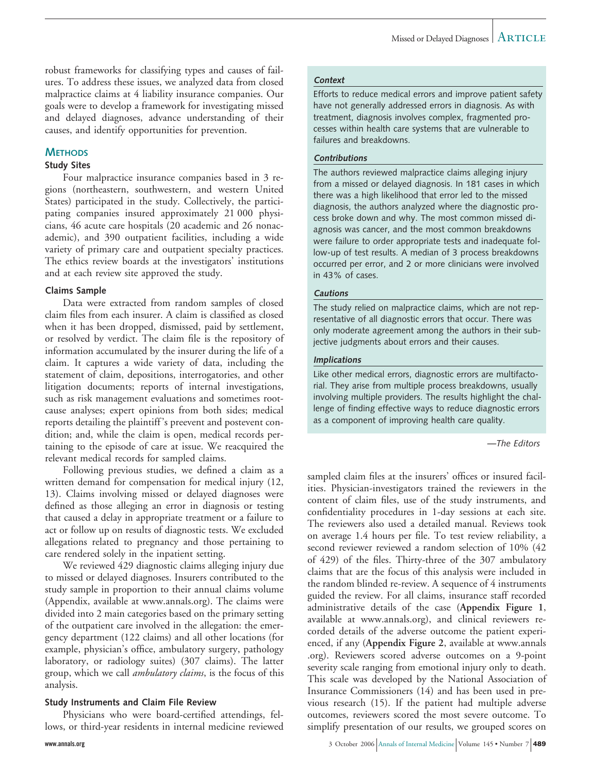robust frameworks for classifying types and causes of failures. To address these issues, we analyzed data from closed malpractice claims at 4 liability insurance companies. Our goals were to develop a framework for investigating missed and delayed diagnoses, advance understanding of their causes, and identify opportunities for prevention.

## **METHODS**

## **Study Sites**

Four malpractice insurance companies based in 3 regions (northeastern, southwestern, and western United States) participated in the study. Collectively, the participating companies insured approximately 21 000 physicians, 46 acute care hospitals (20 academic and 26 nonacademic), and 390 outpatient facilities, including a wide variety of primary care and outpatient specialty practices. The ethics review boards at the investigators' institutions and at each review site approved the study.

## **Claims Sample**

Data were extracted from random samples of closed claim files from each insurer. A claim is classified as closed when it has been dropped, dismissed, paid by settlement, or resolved by verdict. The claim file is the repository of information accumulated by the insurer during the life of a claim. It captures a wide variety of data, including the statement of claim, depositions, interrogatories, and other litigation documents; reports of internal investigations, such as risk management evaluations and sometimes rootcause analyses; expert opinions from both sides; medical reports detailing the plaintiff 's preevent and postevent condition; and, while the claim is open, medical records pertaining to the episode of care at issue. We reacquired the relevant medical records for sampled claims.

Following previous studies, we defined a claim as a written demand for compensation for medical injury (12, 13). Claims involving missed or delayed diagnoses were defined as those alleging an error in diagnosis or testing that caused a delay in appropriate treatment or a failure to act or follow up on results of diagnostic tests. We excluded allegations related to pregnancy and those pertaining to care rendered solely in the inpatient setting.

We reviewed 429 diagnostic claims alleging injury due to missed or delayed diagnoses. Insurers contributed to the study sample in proportion to their annual claims volume (Appendix, available at www.annals.org). The claims were divided into 2 main categories based on the primary setting of the outpatient care involved in the allegation: the emergency department (122 claims) and all other locations (for example, physician's office, ambulatory surgery, pathology laboratory, or radiology suites) (307 claims). The latter group, which we call *ambulatory claims*, is the focus of this analysis.

## **Study Instruments and Claim File Review**

Physicians who were board-certified attendings, fellows, or third-year residents in internal medicine reviewed

## **Context**

Efforts to reduce medical errors and improve patient safety have not generally addressed errors in diagnosis. As with treatment, diagnosis involves complex, fragmented processes within health care systems that are vulnerable to failures and breakdowns.

## **Contributions**

The authors reviewed malpractice claims alleging injury from a missed or delayed diagnosis. In 181 cases in which there was a high likelihood that error led to the missed diagnosis, the authors analyzed where the diagnostic process broke down and why. The most common missed diagnosis was cancer, and the most common breakdowns were failure to order appropriate tests and inadequate follow-up of test results. A median of 3 process breakdowns occurred per error, and 2 or more clinicians were involved in 43% of cases.

#### **Cautions**

The study relied on malpractice claims, which are not representative of all diagnostic errors that occur. There was only moderate agreement among the authors in their subjective judgments about errors and their causes.

#### **Implications**

Like other medical errors, diagnostic errors are multifactorial. They arise from multiple process breakdowns, usually involving multiple providers. The results highlight the challenge of finding effective ways to reduce diagnostic errors as a component of improving health care quality.

#### *—The Editors*

sampled claim files at the insurers' offices or insured facilities. Physician-investigators trained the reviewers in the content of claim files, use of the study instruments, and confidentiality procedures in 1-day sessions at each site. The reviewers also used a detailed manual. Reviews took on average 1.4 hours per file. To test review reliability, a second reviewer reviewed a random selection of 10% (42 of 429) of the files. Thirty-three of the 307 ambulatory claims that are the focus of this analysis were included in the random blinded re-review. A sequence of 4 instruments guided the review. For all claims, insurance staff recorded administrative details of the case (**Appendix Figure 1**, available at www.annals.org), and clinical reviewers recorded details of the adverse outcome the patient experienced, if any (**Appendix Figure 2**, available at www.annals .org). Reviewers scored adverse outcomes on a 9-point severity scale ranging from emotional injury only to death. This scale was developed by the National Association of Insurance Commissioners (14) and has been used in previous research (15). If the patient had multiple adverse outcomes, reviewers scored the most severe outcome. To simplify presentation of our results, we grouped scores on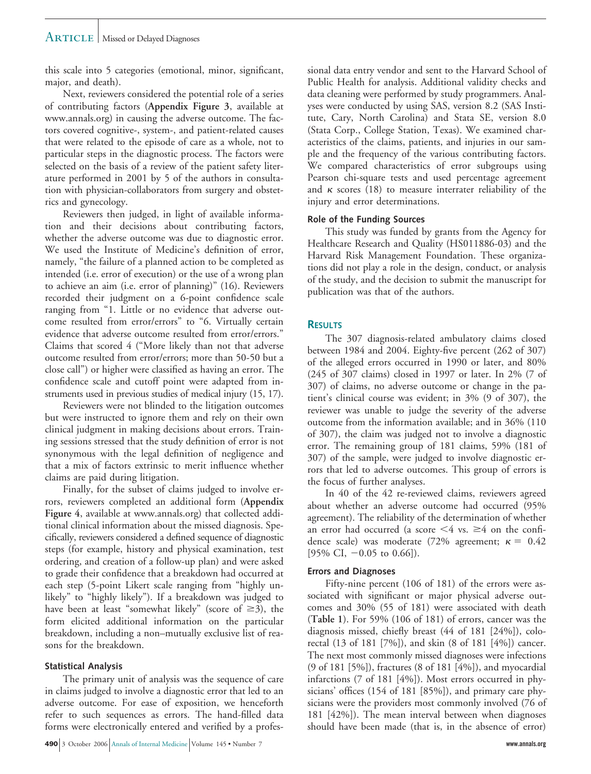## ARTICLE | Missed or Delayed Diagnoses

this scale into 5 categories (emotional, minor, significant, major, and death).

Next, reviewers considered the potential role of a series of contributing factors (**Appendix Figure 3**, available at www.annals.org) in causing the adverse outcome. The factors covered cognitive-, system-, and patient-related causes that were related to the episode of care as a whole, not to particular steps in the diagnostic process. The factors were selected on the basis of a review of the patient safety literature performed in 2001 by 5 of the authors in consultation with physician-collaborators from surgery and obstetrics and gynecology.

Reviewers then judged, in light of available information and their decisions about contributing factors, whether the adverse outcome was due to diagnostic error. We used the Institute of Medicine's definition of error, namely, "the failure of a planned action to be completed as intended (i.e. error of execution) or the use of a wrong plan to achieve an aim (i.e. error of planning)" (16). Reviewers recorded their judgment on a 6-point confidence scale ranging from "1. Little or no evidence that adverse outcome resulted from error/errors" to "6. Virtually certain evidence that adverse outcome resulted from error/errors." Claims that scored 4 ("More likely than not that adverse outcome resulted from error/errors; more than 50-50 but a close call") or higher were classified as having an error. The confidence scale and cutoff point were adapted from instruments used in previous studies of medical injury (15, 17).

Reviewers were not blinded to the litigation outcomes but were instructed to ignore them and rely on their own clinical judgment in making decisions about errors. Training sessions stressed that the study definition of error is not synonymous with the legal definition of negligence and that a mix of factors extrinsic to merit influence whether claims are paid during litigation.

Finally, for the subset of claims judged to involve errors, reviewers completed an additional form (**Appendix Figure 4**, available at www.annals.org) that collected additional clinical information about the missed diagnosis. Specifically, reviewers considered a defined sequence of diagnostic steps (for example, history and physical examination, test ordering, and creation of a follow-up plan) and were asked to grade their confidence that a breakdown had occurred at each step (5-point Likert scale ranging from "highly unlikely" to "highly likely"). If a breakdown was judged to have been at least "somewhat likely" (score of  $\geq$ 3), the form elicited additional information on the particular breakdown, including a non–mutually exclusive list of reasons for the breakdown.

## **Statistical Analysis**

The primary unit of analysis was the sequence of care in claims judged to involve a diagnostic error that led to an adverse outcome. For ease of exposition, we henceforth refer to such sequences as errors. The hand-filled data forms were electronically entered and verified by a profes-

**490** 3 October 2006 Annals of Internal Medicine Volume 145 • Number 7 **www.annals.org**

sional data entry vendor and sent to the Harvard School of Public Health for analysis. Additional validity checks and data cleaning were performed by study programmers. Analyses were conducted by using SAS, version 8.2 (SAS Institute, Cary, North Carolina) and Stata SE, version 8.0 (Stata Corp., College Station, Texas). We examined characteristics of the claims, patients, and injuries in our sample and the frequency of the various contributing factors. We compared characteristics of error subgroups using Pearson chi-square tests and used percentage agreement and  $\kappa$  scores (18) to measure interrater reliability of the injury and error determinations.

### **Role of the Funding Sources**

This study was funded by grants from the Agency for Healthcare Research and Quality (HS011886-03) and the Harvard Risk Management Foundation. These organizations did not play a role in the design, conduct, or analysis of the study, and the decision to submit the manuscript for publication was that of the authors.

## **RESULTS**

The 307 diagnosis-related ambulatory claims closed between 1984 and 2004. Eighty-five percent (262 of 307) of the alleged errors occurred in 1990 or later, and 80% (245 of 307 claims) closed in 1997 or later. In 2% (7 of 307) of claims, no adverse outcome or change in the patient's clinical course was evident; in 3% (9 of 307), the reviewer was unable to judge the severity of the adverse outcome from the information available; and in 36% (110 of 307), the claim was judged not to involve a diagnostic error. The remaining group of 181 claims, 59% (181 of 307) of the sample, were judged to involve diagnostic errors that led to adverse outcomes. This group of errors is the focus of further analyses.

In 40 of the 42 re-reviewed claims, reviewers agreed about whether an adverse outcome had occurred (95% agreement). The reliability of the determination of whether an error had occurred (a score  $\leq 4$  vs.  $\geq 4$  on the confidence scale) was moderate (72% agreement;  $\kappa = 0.42$ [95% CI,  $-0.05$  to 0.66]).

## **Errors and Diagnoses**

Fifty-nine percent (106 of 181) of the errors were associated with significant or major physical adverse outcomes and 30% (55 of 181) were associated with death (**Table 1**). For 59% (106 of 181) of errors, cancer was the diagnosis missed, chiefly breast (44 of 181 [24%]), colorectal (13 of 181 [7%]), and skin (8 of 181 [4%]) cancer. The next most commonly missed diagnoses were infections (9 of 181 [5%]), fractures (8 of 181 [4%]), and myocardial infarctions (7 of 181 [4%]). Most errors occurred in physicians' offices (154 of 181 [85%]), and primary care physicians were the providers most commonly involved (76 of 181 [42%]). The mean interval between when diagnoses should have been made (that is, in the absence of error)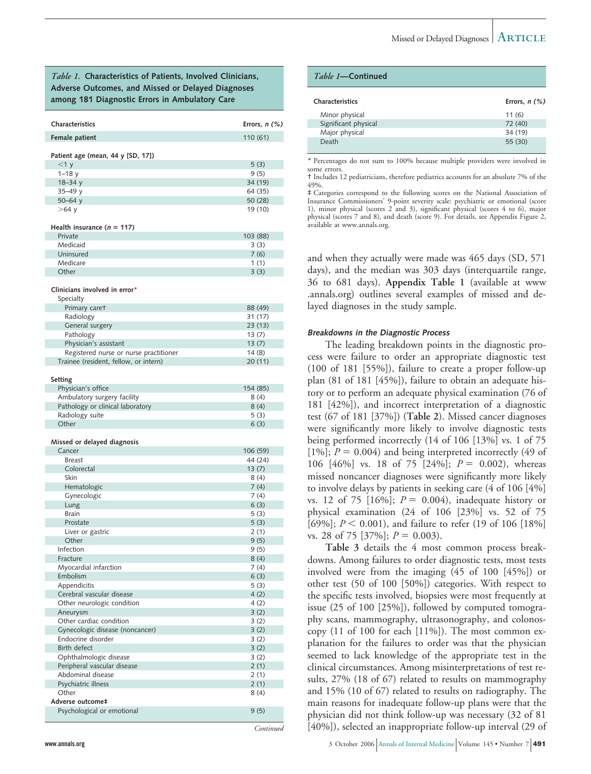## *Table 1.* **Characteristics of Patients, Involved Clinicians, Adverse Outcomes, and Missed or Delayed Diagnoses among 181 Diagnostic Errors in Ambulatory Care**

| <b>Characteristics</b>                 | Errors, $n$ (%) |
|----------------------------------------|-----------------|
| Female patient                         | 110 (61)        |
|                                        |                 |
| Patient age (mean, 44 y [SD, 17])      |                 |
| $<$ 1 y                                | 5(3)            |
| $1 - 18y$                              | 9(5)            |
| $18 - 34y$                             | 34 (19)         |
| $35 - 49y$                             | 64 (35)         |
| $50 - 64$ y                            | 50 (28)         |
| $>64$ y                                | 19 (10)         |
| Health insurance ( $n = 117$ )         |                 |
| Private                                | 103 (88)        |
| Medicaid                               | 3(3)            |
| Uninsured                              | 7(6)            |
| Medicare                               | 1(1)            |
| Other                                  | 3(3)            |
|                                        |                 |
| Clinicians involved in error*          |                 |
| Specialty                              |                 |
| Primary caret                          | 88 (49)         |
| Radiology                              | 31 (17)         |
| General surgery                        | 23(13)          |
| Pathology                              | 13(7)           |
| Physician's assistant                  | 13(7)           |
| Registered nurse or nurse practitioner | 14(8)           |
| Trainee (resident, fellow, or intern)  | 20 (11)         |
|                                        |                 |
| Setting<br>Physician's office          | 154 (85)        |
| Ambulatory surgery facility            | 8(4)            |
| Pathology or clinical laboratory       | 8(4)            |
| Radiology suite                        | 5(3)            |
| Other                                  | 6(3)            |
|                                        |                 |
| Missed or delayed diagnosis            |                 |
| Cancer                                 | 106 (59)        |
| <b>Breast</b>                          | 44 (24)         |
| Colorectal                             | 13(7)           |
| Skin                                   | 8(4)            |
| Hematologic                            | 7(4)            |
| Gynecologic                            | 7(4)            |
| Lung                                   | 6(3)            |
| <b>Brain</b>                           | 5(3)            |
| Prostate                               | 5(3)            |
| Liver or gastric<br>Other              | 2(1)            |
| Infection                              | 9(5)<br>9(5)    |
| Fracture                               | 8(4)            |
| Myocardial infarction                  | 7 (4)           |
| Embolism                               | 6(3)            |
| Appendicitis                           | 5(3)            |
| Cerebral vascular disease              | 4(2)            |
| Other neurologic condition             | 4 (2)           |
| Aneurysm                               | 3(2)            |
| Other cardiac condition                | 3(2)            |
| Gynecologic disease (noncancer)        | 3(2)            |
| Endocrine disorder                     | 3(2)            |
| Birth defect                           | 3(2)            |
| Ophthalmologic disease                 | 3(2)            |
| Peripheral vascular disease            | 2(1)            |
| Abdominal disease                      | 2(1)            |
| Psychiatric illness                    | 2(1)            |
| Other                                  | 8(4)            |
| Adverse outcome‡                       |                 |
| Psychological or emotional             | 9(5)            |

| Table 1-Continued    |                 |
|----------------------|-----------------|
| Characteristics      | Errors, $n$ (%) |
| Minor physical       | 11(6)           |
| Significant physical | 72 (40)         |
| Major physical       | 34 (19)         |
| Death                | 55 (30)         |

\* Percentages do not sum to 100% because multiple providers were involved in some errors.

† Includes 12 pediatricians, therefore pediatrics accounts for an absolute 7% of the 49%.

‡ Categories correspond to the following scores on the National Association of Insurance Commissioners' 9-point severity scale: psychiatric or emotional (score 1), minor physical (scores 2 and 3), significant physical (scores 4 to 6), major physical (scores 7 and 8), and death (score 9). For details, see Appendix Figure 2, available at www.annals.org.

and when they actually were made was 465 days (SD, 571 days), and the median was 303 days (interquartile range, 36 to 681 days). **Appendix Table 1** (available at www .annals.org) outlines several examples of missed and delayed diagnoses in the study sample.

#### **Breakdowns in the Diagnostic Process**

The leading breakdown points in the diagnostic process were failure to order an appropriate diagnostic test (100 of 181 [55%]), failure to create a proper follow-up plan (81 of 181 [45%]), failure to obtain an adequate history or to perform an adequate physical examination (76 of 181 [42%]), and incorrect interpretation of a diagnostic test (67 of 181 [37%]) (**Table 2**). Missed cancer diagnoses were significantly more likely to involve diagnostic tests being performed incorrectly (14 of 106 [13%] vs. 1 of 75 [ $1\%$ ];  $P = 0.004$ ) and being interpreted incorrectly (49 of 106 [46%] vs. 18 of 75 [24%];  $P = 0.002$ ), whereas missed noncancer diagnoses were significantly more likely to involve delays by patients in seeking care (4 of 106 [4%] vs. 12 of 75  $[16\%]$ ;  $P = 0.004$ ), inadequate history or physical examination (24 of 106 [23%] vs. 52 of 75 [69%];  $P < 0.001$ ), and failure to refer (19 of 106 [18%] vs. 28 of 75 [37%];  $P = 0.003$ ).

**Table 3** details the 4 most common process breakdowns. Among failures to order diagnostic tests, most tests involved were from the imaging (45 of 100 [45%]) or other test (50 of 100 [50%]) categories. With respect to the specific tests involved, biopsies were most frequently at issue (25 of 100 [25%]), followed by computed tomography scans, mammography, ultrasonography, and colonoscopy (11 of 100 for each [11%]). The most common explanation for the failures to order was that the physician seemed to lack knowledge of the appropriate test in the clinical circumstances. Among misinterpretations of test results, 27% (18 of 67) related to results on mammography and 15% (10 of 67) related to results on radiography. The main reasons for inadequate follow-up plans were that the physician did not think follow-up was necessary (32 of 81 [40%]), selected an inappropriate follow-up interval (29 of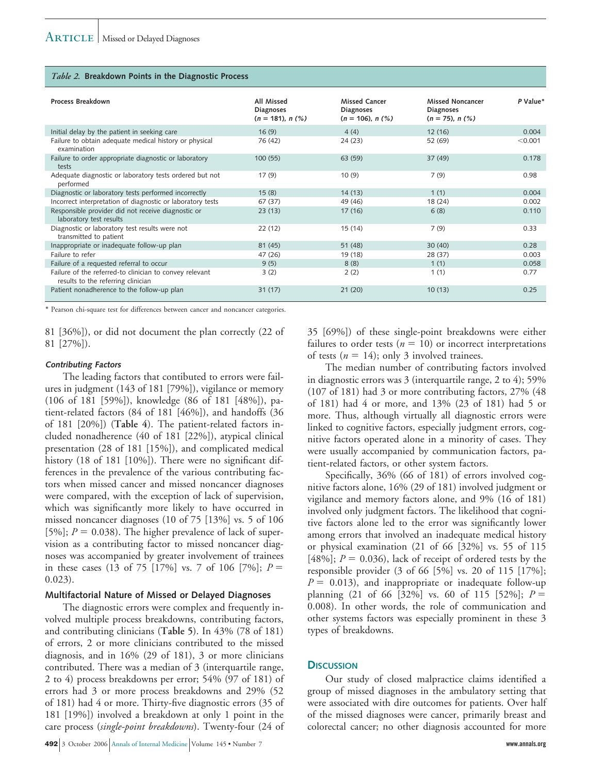#### *Table 2.* **Breakdown Points in the Diagnostic Process**

| <b>Process Breakdown</b>                                                                      | <b>All Missed</b><br><b>Diagnoses</b><br>$(n = 181)$ , n $(\%)$ | <b>Missed Cancer</b><br>Diagnoses<br>$(n = 106)$ , n $(\%)$ | <b>Missed Noncancer</b><br><b>Diagnoses</b><br>$(n = 75)$ , n $(\%)$ | P Value* |
|-----------------------------------------------------------------------------------------------|-----------------------------------------------------------------|-------------------------------------------------------------|----------------------------------------------------------------------|----------|
| Initial delay by the patient in seeking care                                                  | 16(9)                                                           | 4(4)                                                        | 12(16)                                                               | 0.004    |
| Failure to obtain adequate medical history or physical<br>examination                         | 76 (42)                                                         | 24(23)                                                      | 52 (69)                                                              | < 0.001  |
| Failure to order appropriate diagnostic or laboratory<br>tests                                | 100(55)                                                         | 63 (59)                                                     | 37(49)                                                               | 0.178    |
| Adequate diagnostic or laboratory tests ordered but not<br>performed                          | 17(9)                                                           | 10(9)                                                       | 7(9)                                                                 | 0.98     |
| Diagnostic or laboratory tests performed incorrectly                                          | 15(8)                                                           | 14(13)                                                      | 1(1)                                                                 | 0.004    |
| Incorrect interpretation of diagnostic or laboratory tests                                    | 67 (37)                                                         | 49 (46)                                                     | 18 (24)                                                              | 0.002    |
| Responsible provider did not receive diagnostic or<br>laboratory test results                 | 23(13)                                                          | 17(16)                                                      | 6(8)                                                                 | 0.110    |
| Diagnostic or laboratory test results were not<br>transmitted to patient                      | 22(12)                                                          | 15 (14)                                                     | 7(9)                                                                 | 0.33     |
| Inappropriate or inadequate follow-up plan                                                    | 81 (45)                                                         | 51(48)                                                      | 30(40)                                                               | 0.28     |
| Failure to refer                                                                              | 47 (26)                                                         | 19 (18)                                                     | 28 (37)                                                              | 0.003    |
| Failure of a requested referral to occur                                                      | 9(5)                                                            | 8(8)                                                        | 1(1)                                                                 | 0.058    |
| Failure of the referred-to clinician to convey relevant<br>results to the referring clinician | 3(2)                                                            | 2(2)                                                        | 1(1)                                                                 | 0.77     |
| Patient nonadherence to the follow-up plan                                                    | 31(17)                                                          | 21(20)                                                      | 10(13)                                                               | 0.25     |

\* Pearson chi-square test for differences between cancer and noncancer categories.

81 [36%]), or did not document the plan correctly (22 of 81 [27%]).

#### **Contributing Factors**

The leading factors that contibuted to errors were failures in judgment (143 of 181 [79%]), vigilance or memory (106 of 181 [59%]), knowledge (86 of 181 [48%]), patient-related factors (84 of 181 [46%]), and handoffs (36 of 181 [20%]) (**Table 4**). The patient-related factors included nonadherence (40 of 181 [22%]), atypical clinical presentation (28 of 181 [15%]), and complicated medical history (18 of 181 [10%]). There were no significant differences in the prevalence of the various contributing factors when missed cancer and missed noncancer diagnoses were compared, with the exception of lack of supervision, which was significantly more likely to have occurred in missed noncancer diagnoses (10 of 75 [13%] vs. 5 of 106 [5%];  $P = 0.038$ ). The higher prevalence of lack of supervision as a contributing factor to missed noncancer diagnoses was accompanied by greater involvement of trainees in these cases (13 of 75 [17%] vs. 7 of 106 [7%];  $P =$ 0.023).

## **Multifactorial Nature of Missed or Delayed Diagnoses**

The diagnostic errors were complex and frequently involved multiple process breakdowns, contributing factors, and contributing clinicians (**Table 5**). In 43% (78 of 181) of errors, 2 or more clinicians contributed to the missed diagnosis, and in 16% (29 of 181), 3 or more clinicians contributed. There was a median of 3 (interquartile range, 2 to 4) process breakdowns per error; 54% (97 of 181) of errors had 3 or more process breakdowns and 29% (52 of 181) had 4 or more. Thirty-five diagnostic errors (35 of 181 [19%]) involved a breakdown at only 1 point in the care process (*single-point breakdowns*). Twenty-four (24 of

35 [69%]) of these single-point breakdowns were either failures to order tests  $(n = 10)$  or incorrect interpretations of tests ( $n = 14$ ); only 3 involved trainees.

The median number of contributing factors involved in diagnostic errors was 3 (interquartile range, 2 to 4); 59% (107 of 181) had 3 or more contributing factors, 27% (48 of 181) had 4 or more, and 13% (23 of 181) had 5 or more. Thus, although virtually all diagnostic errors were linked to cognitive factors, especially judgment errors, cognitive factors operated alone in a minority of cases. They were usually accompanied by communication factors, patient-related factors, or other system factors.

Specifically, 36% (66 of 181) of errors involved cognitive factors alone, 16% (29 of 181) involved judgment or vigilance and memory factors alone, and 9% (16 of 181) involved only judgment factors. The likelihood that cognitive factors alone led to the error was significantly lower among errors that involved an inadequate medical history or physical examination (21 of 66 [32%] vs. 55 of 115 [48%];  $P = 0.036$ ), lack of receipt of ordered tests by the responsible provider (3 of 66 [5%] vs. 20 of 115 [17%];  $P = 0.013$ ), and inappropriate or inadequate follow-up planning (21 of 66 [32%] vs. 60 of 115 [52%]; *P* - 0.008). In other words, the role of communication and other systems factors was especially prominent in these 3 types of breakdowns.

#### **DISCUSSION**

Our study of closed malpractice claims identified a group of missed diagnoses in the ambulatory setting that were associated with dire outcomes for patients. Over half of the missed diagnoses were cancer, primarily breast and colorectal cancer; no other diagnosis accounted for more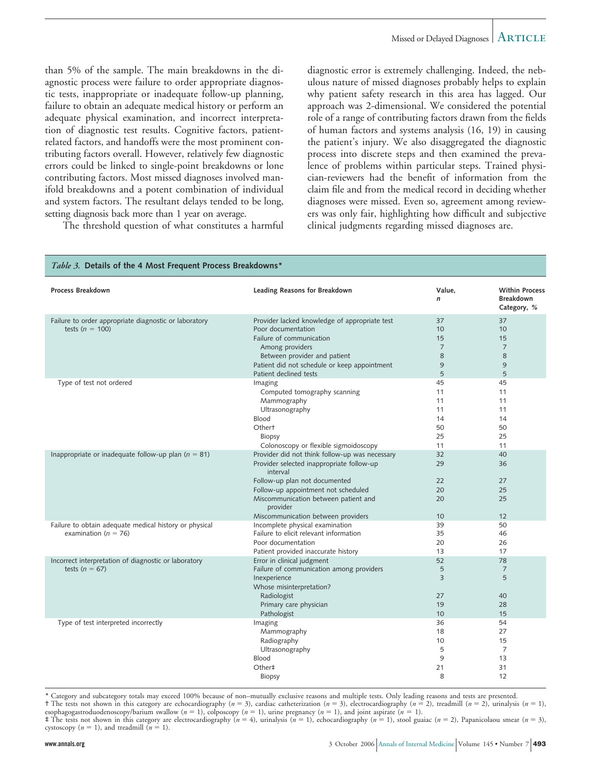than 5% of the sample. The main breakdowns in the diagnostic process were failure to order appropriate diagnostic tests, inappropriate or inadequate follow-up planning, failure to obtain an adequate medical history or perform an adequate physical examination, and incorrect interpretation of diagnostic test results. Cognitive factors, patientrelated factors, and handoffs were the most prominent contributing factors overall. However, relatively few diagnostic errors could be linked to single-point breakdowns or lone contributing factors. Most missed diagnoses involved manifold breakdowns and a potent combination of individual and system factors. The resultant delays tended to be long, setting diagnosis back more than 1 year on average.

The threshold question of what constitutes a harmful

diagnostic error is extremely challenging. Indeed, the nebulous nature of missed diagnoses probably helps to explain why patient safety research in this area has lagged. Our approach was 2-dimensional. We considered the potential role of a range of contributing factors drawn from the fields of human factors and systems analysis (16, 19) in causing the patient's injury. We also disaggregated the diagnostic process into discrete steps and then examined the prevalence of problems within particular steps. Trained physician-reviewers had the benefit of information from the claim file and from the medical record in deciding whether diagnoses were missed. Even so, agreement among reviewers was only fair, highlighting how difficult and subjective clinical judgments regarding missed diagnoses are.

| <b>Process Breakdown</b>                                                           | Leading Reasons for Breakdown                                                                                                                                                                                                                                             | Value,<br>n                                     | <b>Within Process</b><br><b>Breakdown</b><br>Category, % |
|------------------------------------------------------------------------------------|---------------------------------------------------------------------------------------------------------------------------------------------------------------------------------------------------------------------------------------------------------------------------|-------------------------------------------------|----------------------------------------------------------|
| Failure to order appropriate diagnostic or laboratory<br>tests ( $n = 100$ )       | Provider lacked knowledge of appropriate test<br>Poor documentation<br>Failure of communication<br>Among providers<br>Between provider and patient<br>Patient did not schedule or keep appointment<br>Patient declined tests                                              | 37<br>10<br>15<br>$\overline{7}$<br>8<br>9<br>5 | 37<br>10<br>15<br>$\overline{7}$<br>8<br>9<br>5          |
| Type of test not ordered                                                           | Imaging<br>Computed tomography scanning<br>Mammography<br>Ultrasonography<br>Blood<br>Othert<br><b>Biopsy</b><br>Colonoscopy or flexible sigmoidoscopy                                                                                                                    | 45<br>11<br>11<br>11<br>14<br>50<br>25<br>11    | 45<br>11<br>11<br>11<br>14<br>50<br>25<br>11             |
| Inappropriate or inadequate follow-up plan ( $n = 81$ )                            | Provider did not think follow-up was necessary<br>Provider selected inappropriate follow-up<br>interval<br>Follow-up plan not documented<br>Follow-up appointment not scheduled<br>Miscommunication between patient and<br>provider<br>Miscommunication between providers | 32<br>29<br>22<br>20<br>20<br>10                | 40<br>36<br>27<br>25<br>25<br>12                         |
| Failure to obtain adequate medical history or physical<br>examination ( $n = 76$ ) | Incomplete physical examination<br>Failure to elicit relevant information<br>Poor documentation<br>Patient provided inaccurate history                                                                                                                                    | 39<br>35<br>20<br>13                            | 50<br>46<br>26<br>17                                     |
| Incorrect interpretation of diagnostic or laboratory<br>tests ( $n = 67$ )         | Error in clinical judgment<br>Failure of communication among providers<br>Inexperience<br>Whose misinterpretation?<br>Radiologist<br>Primary care physician<br>Pathologist                                                                                                | 52<br>5<br>3<br>27<br>19<br>10                  | 78<br>$\overline{7}$<br>5<br>40<br>28<br>15              |
| Type of test interpreted incorrectly                                               | Imaging<br>Mammography<br>Radiography<br>Ultrasonography<br>Blood<br>Other‡<br><b>Biopsy</b>                                                                                                                                                                              | 36<br>18<br>10<br>5<br>9<br>21<br>8             | 54<br>27<br>15<br>$\overline{7}$<br>13<br>31<br>12       |

*Table 3.* **Details of the 4 Most Frequent Process Breakdowns\***

\* Category and subcategory totals may exceed 100% because of non–mutually exclusive reasons and multiple tests. Only leading reasons and tests are presented.

† The tests not shown in this category are echocardiography (*n* - 3), cardiac catheterization (*n* - 3), electrocardiography (*n* - 2), treadmill (*n* - 2), urinalysis (*n* - 1), esophagogastroduodenoscopy/barium swallow (n = 1), colposcopy (n = 1), urine pregnancy (n = 1), and joint aspirate (n = 1).<br>‡The tests not shown in this category are electrocardiography (n = 4), urinalysis (n = 1), echoca cystoscopy ( $n = 1$ ), and treadmill ( $n = 1$ ).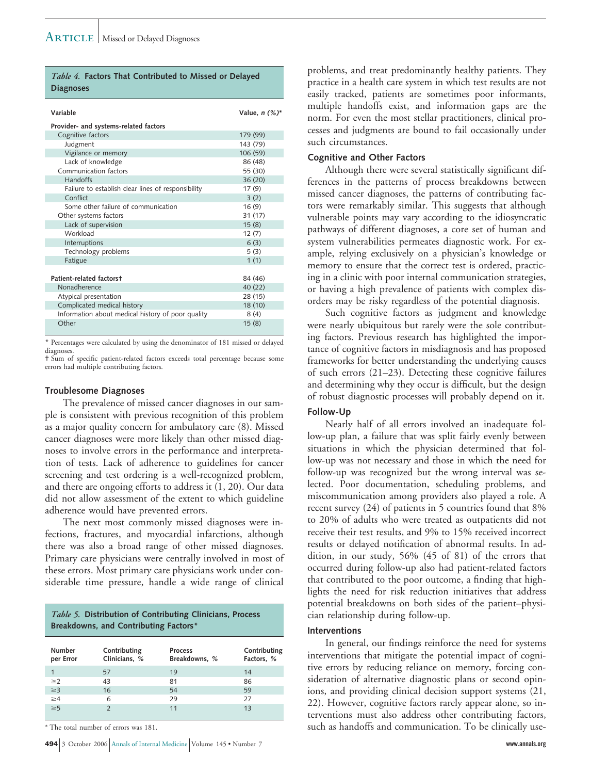| <i>Table 4.</i> Factors That Contributed to Missed or Delayed<br><b>Diagnoses</b> |                 |  |  |
|-----------------------------------------------------------------------------------|-----------------|--|--|
| Variable                                                                          | Value, $n$ (%)* |  |  |
| Provider- and systems-related factors                                             |                 |  |  |
| Cognitive factors                                                                 | 179 (99)        |  |  |
| Judgment                                                                          | 143 (79)        |  |  |
| Vigilance or memory                                                               | 106 (59)        |  |  |
| Lack of knowledge                                                                 | 86 (48)         |  |  |
| Communication factors                                                             | 55 (30)         |  |  |
| Handoffs                                                                          | 36(20)          |  |  |
| Failure to establish clear lines of responsibility                                | 17(9)           |  |  |
| Conflict                                                                          | 3(2)            |  |  |
| Some other failure of communication                                               | 16(9)           |  |  |
| Other systems factors                                                             | 31 (17)         |  |  |
| Lack of supervision                                                               | 15(8)           |  |  |
| Workload                                                                          | 12(7)           |  |  |
| Interruptions                                                                     | 6(3)            |  |  |
| Technology problems                                                               | 5(3)            |  |  |
| Fatigue                                                                           | 1(1)            |  |  |
| Patient-related factors+                                                          | 84 (46)         |  |  |
| Nonadherence                                                                      | 40 (22)         |  |  |
| Atypical presentation                                                             | 28 (15)         |  |  |
| Complicated medical history                                                       | 18 (10)         |  |  |
| Information about medical history of poor quality                                 | 8(4)            |  |  |
| Other                                                                             | 15(8)           |  |  |

\* Percentages were calculated by using the denominator of 181 missed or delayed diagnoses.

† Sum of specific patient-related factors exceeds total percentage because some errors had multiple contributing factors.

#### **Troublesome Diagnoses**

The prevalence of missed cancer diagnoses in our sample is consistent with previous recognition of this problem as a major quality concern for ambulatory care (8). Missed cancer diagnoses were more likely than other missed diagnoses to involve errors in the performance and interpretation of tests. Lack of adherence to guidelines for cancer screening and test ordering is a well-recognized problem, and there are ongoing efforts to address it (1, 20). Our data did not allow assessment of the extent to which guideline adherence would have prevented errors.

The next most commonly missed diagnoses were infections, fractures, and myocardial infarctions, although there was also a broad range of other missed diagnoses. Primary care physicians were centrally involved in most of these errors. Most primary care physicians work under considerable time pressure, handle a wide range of clinical

| <i>Table 5.</i> Distribution of Contributing Clinicians, Process |  |  |
|------------------------------------------------------------------|--|--|
| Breakdowns, and Contributing Factors*                            |  |  |

| <b>Number</b><br>per Error | Contributing<br>Clinicians, % | <b>Process</b><br>Breakdowns, % | Contributing<br>Factors, % |
|----------------------------|-------------------------------|---------------------------------|----------------------------|
|                            | 57                            | 19                              | 14                         |
| $\geq$ 2                   | 43                            | 81                              | 86                         |
| $\geq$ 3                   | 16                            | 54                              | 59                         |
| $\geq 4$                   | 6                             | 29                              | 27                         |
| $\geq 5$                   |                               | 11                              | 13                         |

\* The total number of errors was 181.

problems, and treat predominantly healthy patients. They practice in a health care system in which test results are not easily tracked, patients are sometimes poor informants, multiple handoffs exist, and information gaps are the norm. For even the most stellar practitioners, clinical processes and judgments are bound to fail occasionally under such circumstances.

#### **Cognitive and Other Factors**

Although there were several statistically significant differences in the patterns of process breakdowns between missed cancer diagnoses, the patterns of contributing factors were remarkably similar. This suggests that although vulnerable points may vary according to the idiosyncratic pathways of different diagnoses, a core set of human and system vulnerabilities permeates diagnostic work. For example, relying exclusively on a physician's knowledge or memory to ensure that the correct test is ordered, practicing in a clinic with poor internal communication strategies, or having a high prevalence of patients with complex disorders may be risky regardless of the potential diagnosis.

Such cognitive factors as judgment and knowledge were nearly ubiquitous but rarely were the sole contributing factors. Previous research has highlighted the importance of cognitive factors in misdiagnosis and has proposed frameworks for better understanding the underlying causes of such errors (21–23). Detecting these cognitive failures and determining why they occur is difficult, but the design of robust diagnostic processes will probably depend on it.

#### **Follow-Up**

Nearly half of all errors involved an inadequate follow-up plan, a failure that was split fairly evenly between situations in which the physician determined that follow-up was not necessary and those in which the need for follow-up was recognized but the wrong interval was selected. Poor documentation, scheduling problems, and miscommunication among providers also played a role. A recent survey (24) of patients in 5 countries found that 8% to 20% of adults who were treated as outpatients did not receive their test results, and 9% to 15% received incorrect results or delayed notification of abnormal results. In addition, in our study, 56% (45 of 81) of the errors that occurred during follow-up also had patient-related factors that contributed to the poor outcome, a finding that highlights the need for risk reduction initiatives that address potential breakdowns on both sides of the patient–physician relationship during follow-up.

#### **Interventions**

In general, our findings reinforce the need for systems interventions that mitigate the potential impact of cognitive errors by reducing reliance on memory, forcing consideration of alternative diagnostic plans or second opinions, and providing clinical decision support systems (21, 22). However, cognitive factors rarely appear alone, so interventions must also address other contributing factors, such as handoffs and communication. To be clinically use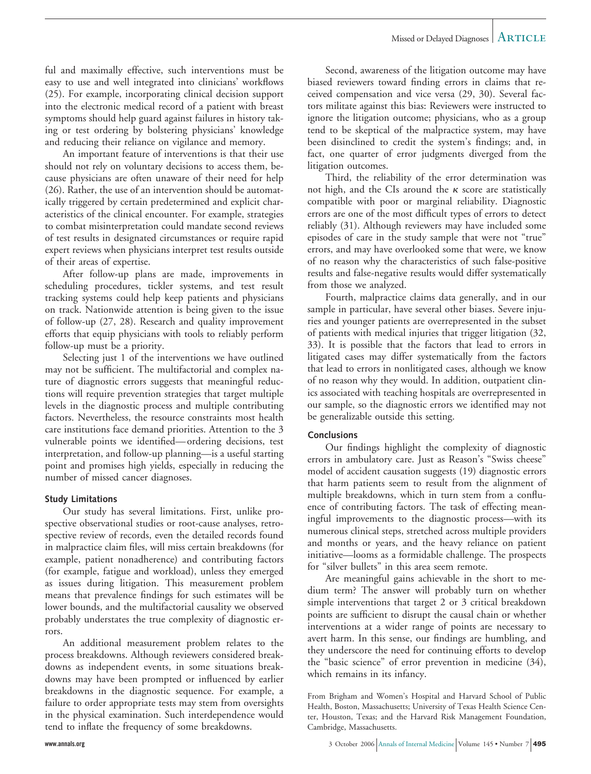ful and maximally effective, such interventions must be easy to use and well integrated into clinicians' workflows (25). For example, incorporating clinical decision support into the electronic medical record of a patient with breast symptoms should help guard against failures in history taking or test ordering by bolstering physicians' knowledge and reducing their reliance on vigilance and memory.

An important feature of interventions is that their use should not rely on voluntary decisions to access them, because physicians are often unaware of their need for help (26). Rather, the use of an intervention should be automatically triggered by certain predetermined and explicit characteristics of the clinical encounter. For example, strategies to combat misinterpretation could mandate second reviews of test results in designated circumstances or require rapid expert reviews when physicians interpret test results outside of their areas of expertise.

After follow-up plans are made, improvements in scheduling procedures, tickler systems, and test result tracking systems could help keep patients and physicians on track. Nationwide attention is being given to the issue of follow-up (27, 28). Research and quality improvement efforts that equip physicians with tools to reliably perform follow-up must be a priority.

Selecting just 1 of the interventions we have outlined may not be sufficient. The multifactorial and complex nature of diagnostic errors suggests that meaningful reductions will require prevention strategies that target multiple levels in the diagnostic process and multiple contributing factors. Nevertheless, the resource constraints most health care institutions face demand priorities. Attention to the 3 vulnerable points we identified—ordering decisions, test interpretation, and follow-up planning—is a useful starting point and promises high yields, especially in reducing the number of missed cancer diagnoses.

## **Study Limitations**

Our study has several limitations. First, unlike prospective observational studies or root-cause analyses, retrospective review of records, even the detailed records found in malpractice claim files, will miss certain breakdowns (for example, patient nonadherence) and contributing factors (for example, fatigue and workload), unless they emerged as issues during litigation. This measurement problem means that prevalence findings for such estimates will be lower bounds, and the multifactorial causality we observed probably understates the true complexity of diagnostic errors.

An additional measurement problem relates to the process breakdowns. Although reviewers considered breakdowns as independent events, in some situations breakdowns may have been prompted or influenced by earlier breakdowns in the diagnostic sequence. For example, a failure to order appropriate tests may stem from oversights in the physical examination. Such interdependence would tend to inflate the frequency of some breakdowns.

Second, awareness of the litigation outcome may have biased reviewers toward finding errors in claims that received compensation and vice versa (29, 30). Several factors militate against this bias: Reviewers were instructed to ignore the litigation outcome; physicians, who as a group tend to be skeptical of the malpractice system, may have been disinclined to credit the system's findings; and, in fact, one quarter of error judgments diverged from the litigation outcomes.

Third, the reliability of the error determination was not high, and the CIs around the  $\kappa$  score are statistically compatible with poor or marginal reliability. Diagnostic errors are one of the most difficult types of errors to detect reliably (31). Although reviewers may have included some episodes of care in the study sample that were not "true" errors, and may have overlooked some that were, we know of no reason why the characteristics of such false-positive results and false-negative results would differ systematically from those we analyzed.

Fourth, malpractice claims data generally, and in our sample in particular, have several other biases. Severe injuries and younger patients are overrepresented in the subset of patients with medical injuries that trigger litigation (32, 33). It is possible that the factors that lead to errors in litigated cases may differ systematically from the factors that lead to errors in nonlitigated cases, although we know of no reason why they would. In addition, outpatient clinics associated with teaching hospitals are overrepresented in our sample, so the diagnostic errors we identified may not be generalizable outside this setting.

## **Conclusions**

Our findings highlight the complexity of diagnostic errors in ambulatory care. Just as Reason's "Swiss cheese" model of accident causation suggests (19) diagnostic errors that harm patients seem to result from the alignment of multiple breakdowns, which in turn stem from a confluence of contributing factors. The task of effecting meaningful improvements to the diagnostic process—with its numerous clinical steps, stretched across multiple providers and months or years, and the heavy reliance on patient initiative—looms as a formidable challenge. The prospects for "silver bullets" in this area seem remote.

Are meaningful gains achievable in the short to medium term? The answer will probably turn on whether simple interventions that target 2 or 3 critical breakdown points are sufficient to disrupt the causal chain or whether interventions at a wider range of points are necessary to avert harm. In this sense, our findings are humbling, and they underscore the need for continuing efforts to develop the "basic science" of error prevention in medicine (34), which remains in its infancy.

From Brigham and Women's Hospital and Harvard School of Public Health, Boston, Massachusetts; University of Texas Health Science Center, Houston, Texas; and the Harvard Risk Management Foundation, Cambridge, Massachusetts.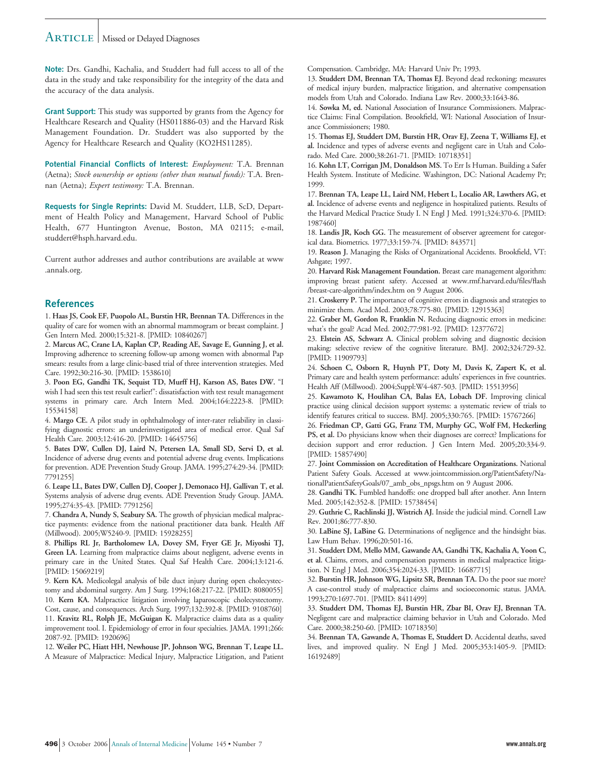## $\rm ARTICLE$  | Missed or Delayed Diagnoses

**Note:** Drs. Gandhi, Kachalia, and Studdert had full access to all of the data in the study and take responsibility for the integrity of the data and the accuracy of the data analysis.

**Grant Support:** This study was supported by grants from the Agency for Healthcare Research and Quality (HS011886-03) and the Harvard Risk Management Foundation. Dr. Studdert was also supported by the Agency for Healthcare Research and Quality (KO2HS11285).

**Potential Financial Conflicts of Interest:** *Employment:* T.A. Brennan (Aetna); *Stock ownership or options (other than mutual funds):* T.A. Brennan (Aetna); *Expert testimony:* T.A. Brennan.

**Requests for Single Reprints:** David M. Studdert, LLB, ScD, Department of Health Policy and Management, Harvard School of Public Health, 677 Huntington Avenue, Boston, MA 02115; e-mail, studdert@hsph.harvard.edu.

Current author addresses and author contributions are available at www .annals.org.

#### **References**

1. **Haas JS, Cook EF, Puopolo AL, Burstin HR, Brennan TA.** Differences in the quality of care for women with an abnormal mammogram or breast complaint. J Gen Intern Med. 2000;15:321-8. [PMID: 10840267]

2. **Marcus AC, Crane LA, Kaplan CP, Reading AE, Savage E, Gunning J, et al.** Improving adherence to screening follow-up among women with abnormal Pap smears: results from a large clinic-based trial of three intervention strategies. Med Care. 1992;30:216-30. [PMID: 1538610]

3. **Poon EG, Gandhi TK, Sequist TD, Murff HJ, Karson AS, Bates DW.** "I wish I had seen this test result earlier!": dissatisfaction with test result management systems in primary care. Arch Intern Med. 2004;164:2223-8. [PMID: 15534158]

4. **Margo CE.** A pilot study in ophthalmology of inter-rater reliability in classifying diagnostic errors: an underinvestigated area of medical error. Qual Saf Health Care. 2003;12:416-20. [PMID: 14645756]

5. **Bates DW, Cullen DJ, Laird N, Petersen LA, Small SD, Servi D, et al.** Incidence of adverse drug events and potential adverse drug events. Implications for prevention. ADE Prevention Study Group. JAMA. 1995;274:29-34. [PMID: 7791255]

6. **Leape LL, Bates DW, Cullen DJ, Cooper J, Demonaco HJ, Gallivan T, et al.** Systems analysis of adverse drug events. ADE Prevention Study Group. JAMA. 1995;274:35-43. [PMID: 7791256]

7. **Chandra A, Nundy S, Seabury SA.** The growth of physician medical malpractice payments: evidence from the national practitioner data bank. Health Aff (Millwood). 2005;W5240-9. [PMID: 15928255]

8. **Phillips RL Jr, Bartholomew LA, Dovey SM, Fryer GE Jr, Miyoshi TJ, Green LA.** Learning from malpractice claims about negligent, adverse events in primary care in the United States. Qual Saf Health Care. 2004;13:121-6. [PMID: 15069219]

9. **Kern KA.** Medicolegal analysis of bile duct injury during open cholecystectomy and abdominal surgery. Am J Surg. 1994;168:217-22. [PMID: 8080055] 10. **Kern KA.** Malpractice litigation involving laparoscopic cholecystectomy. Cost, cause, and consequences. Arch Surg. 1997;132:392-8. [PMID: 9108760] 11. **Kravitz RL, Rolph JE, McGuigan K.** Malpractice claims data as a quality

improvement tool. I. Epidemiology of error in four specialties. JAMA. 1991;266: 2087-92. [PMID: 1920696]

12. **Weiler PC, Hiatt HH, Newhouse JP, Johnson WG, Brennan T, Leape LL.** A Measure of Malpractice: Medical Injury, Malpractice Litigation, and Patient Compensation. Cambridge, MA: Harvard Univ Pr; 1993.

13. **Studdert DM, Brennan TA, Thomas EJ.** Beyond dead reckoning: measures of medical injury burden, malpractice litigation, and alternative compensation models from Utah and Colorado. Indiana Law Rev. 2000;33:1643-86.

14. **Sowka M, ed.** National Association of Insurance Commissioners. Malpractice Claims: Final Compilation. Brookfield, WI: National Association of Insurance Commissioners; 1980.

15. **Thomas EJ, Studdert DM, Burstin HR, Orav EJ, Zeena T, Williams EJ, et al.** Incidence and types of adverse events and negligent care in Utah and Colorado. Med Care. 2000;38:261-71. [PMID: 10718351]

16. **Kohn LT, Corrigan JM, Donaldson MS.** To Err Is Human. Building a Safer Health System. Institute of Medicine. Washington, DC: National Academy Pr; 1999.

17. **Brennan TA, Leape LL, Laird NM, Hebert L, Localio AR, Lawthers AG, et al.** Incidence of adverse events and negligence in hospitalized patients. Results of the Harvard Medical Practice Study I. N Engl J Med. 1991;324:370-6. [PMID: 1987460]

18. **Landis JR, Koch GG.** The measurement of observer agreement for categorical data. Biometrics. 1977;33:159-74. [PMID: 843571]

19. **Reason J.** Managing the Risks of Organizational Accidents. Brookfield, VT: Ashgate: 1997.

20. **Harvard Risk Management Foundation.** Breast care management algorithm: improving breast patient safety. Accessed at www.rmf.harvard.edu/files/flash /breast-care-algorithm/index.htm on 9 August 2006.

21. **Croskerry P.** The importance of cognitive errors in diagnosis and strategies to minimize them. Acad Med. 2003;78:775-80. [PMID: 12915363]

22. **Graber M, Gordon R, Franklin N.** Reducing diagnostic errors in medicine: what's the goal? Acad Med. 2002;77:981-92. [PMID: 12377672]

23. **Elstein AS, Schwarz A.** Clinical problem solving and diagnostic decision making: selective review of the cognitive literature. BMJ. 2002;324:729-32. [PMID: 11909793]

24. **Schoen C, Osborn R, Huynh PT, Doty M, Davis K, Zapert K, et al.** Primary care and health system performance: adults' experiences in five countries. Health Aff (Millwood). 2004;Suppl:W4-487-503. [PMID: 15513956]

25. **Kawamoto K, Houlihan CA, Balas EA, Lobach DF.** Improving clinical practice using clinical decision support systems: a systematic review of trials to identify features critical to success. BMJ. 2005;330:765. [PMID: 15767266]

26. **Friedman CP, Gatti GG, Franz TM, Murphy GC, Wolf FM, Heckerling PS, et al.** Do physicians know when their diagnoses are correct? Implications for decision support and error reduction. J Gen Intern Med. 2005;20:334-9. [PMID: 15857490]

27. **Joint Commission on Accreditation of Healthcare Organizations.** National Patient Safety Goals. Accessed at www.jointcommission.org/PatientSafety/NationalPatientSafetyGoals/07\_amb\_obs\_npsgs.htm on 9 August 2006.

28. **Gandhi TK.** Fumbled handoffs: one dropped ball after another. Ann Intern Med. 2005;142:352-8. [PMID: 15738454]

29. **Guthrie C, Rachlinski JJ, Wistrich AJ.** Inside the judicial mind. Cornell Law Rev. 2001;86:777-830.

30. **LaBine SJ, LaBine G.** Determinations of negligence and the hindsight bias. Law Hum Behav. 1996;20:501-16.

31. **Studdert DM, Mello MM, Gawande AA, Gandhi TK, Kachalia A, Yoon C, et al.** Claims, errors, and compensation payments in medical malpractice litigation. N Engl J Med. 2006;354:2024-33. [PMID: 16687715]

32. **Burstin HR, Johnson WG, Lipsitz SR, Brennan TA.** Do the poor sue more? A case-control study of malpractice claims and socioeconomic status. JAMA. 1993;270:1697-701. [PMID: 8411499]

33. **Studdert DM, Thomas EJ, Burstin HR, Zbar BI, Orav EJ, Brennan TA.** Negligent care and malpractice claiming behavior in Utah and Colorado. Med Care. 2000;38:250-60. [PMID: 10718350]

34. **Brennan TA, Gawande A, Thomas E, Studdert D.** Accidental deaths, saved lives, and improved quality. N Engl J Med. 2005;353:1405-9. [PMID: 16192489]